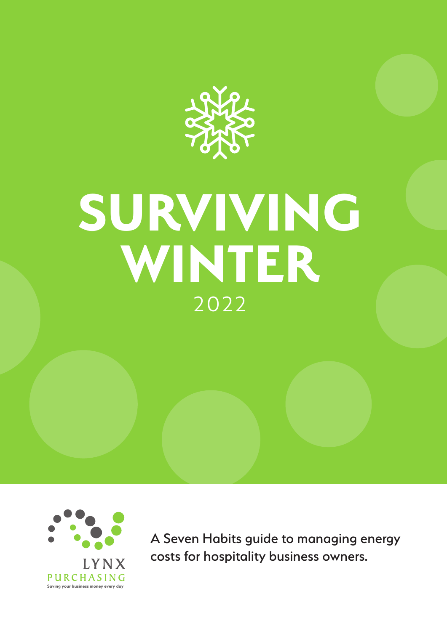

# **SURVIVING WINTER** 2022



A Seven Habits guide to managing energy costs for hospitality business owners.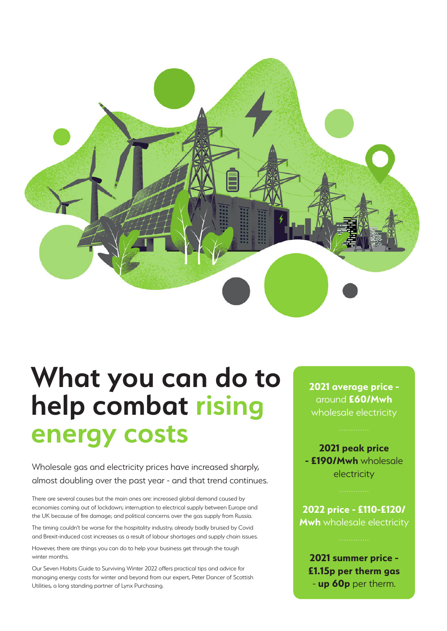

## **What you can do to help combat rising energy costs**

Wholesale gas and electricity prices have increased sharply, almost doubling over the past year - and that trend continues.

There are several causes but the main ones are: increased global demand caused by economies coming out of lockdown; interruption to electrical supply between Europe and the UK because of fire damage; and political concerns over the gas supply from Russia.

The timing couldn't be worse for the hospitality industry, already badly bruised by Covid and Brexit-induced cost increases as a result of labour shortages and supply chain issues.

However, there are things you can do to help your business get through the tough winter months.

Our Seven Habits Guide to Surviving Winter 2022 offers practical tips and advice for managing energy costs for winter and beyond from our expert, Peter Dancer of Scottish Utilities, a long standing partner of Lynx Purchasing.

**2021 average price**  around **£60/Mwh**  wholesale electricity

**2021 peak price - £190/Mwh** wholesale electricity

**2022 price - £110-£120/ Mwh** wholesale electricity

**2021 summer price - £1.15p per therm gas**  - **up 60p** per therm.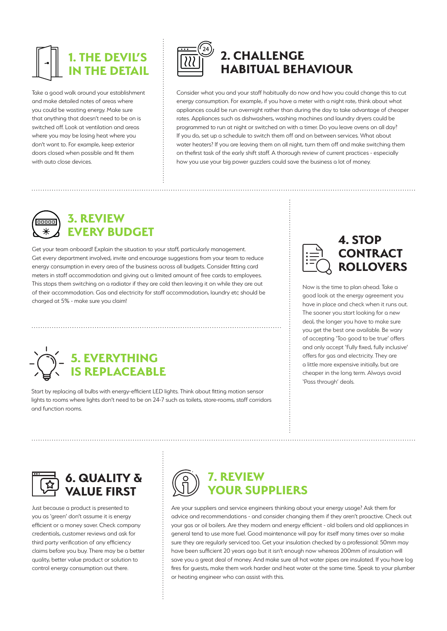### **1. THE DEVIL'S INF DETAIL**

Take a good walk around your establishment and make detailed notes of areas where you could be wasting energy. Make sure that anything that doesn't need to be on is switched off. Look at ventilation and areas where you may be losing heat where you don't want to. For example, keep exterior doors closed when possible and fit them with auto close devices.



#### **2. CHALLENGE HABITUAL BEHAVIOUR**

Consider what you and your staff habitually do now and how you could change this to cut energy consumption. For example, if you have a meter with a night rate, think about what appliances could be run overnight rather than during the day to take advantage of cheaper rates. Appliances such as dishwashers, washing machines and laundry dryers could be programmed to run at night or switched on with a timer. Do you leave ovens on all day? If you do, set up a schedule to switch them off and on between services. What about water heaters? If you are leaving them on all night, turn them off and make switching them on thefirst task of the early shift staff. A thorough review of current practices - especially how you use your big power guzzlers could save the business a lot of money.



#### **3. REVIEW**  EVERY BUDGET **4. STOP**

Get your team onboard! Explain the situation to your staff, particularly management. Get every department involved, invite and encourage suggestions from your team to reduce energy consumption in every area of the business across all budgets. Consider fitting card meters in staff accommodation and giving out a limited amount of free cards to employees. This stops them switching on a radiator if they are cold then leaving it on while they are out of their accommodation. Gas and electricity for staff accommodation, laundry etc should be charged at 5% - make sure you claim!



Start by replacing all bulbs with energy-efficient LED lights. Think about fitting motion sensor lights to rooms where lights don't need to be on 24-7 such as toilets, store-rooms, staff corridors and function rooms.



Now is the time to plan ahead. Take a good look at the energy agreement you have in place and check when it runs out. The sooner you start looking for a new deal, the longer you have to make sure you get the best one available. Be wary of accepting 'Too good to be true' offers and only accept 'Fully fixed, fully inclusive' offers for gas and electricity. They are a little more expensive initially, but are cheaper in the long term. Always avoid 'Pass through' deals.



Just because a product is presented to you as 'green' don't assume it is energy efficient or a money saver. Check company credentials, customer reviews and ask for third party verification of any efficiency claims before you buy. There may be a better quality, better value product or solution to control energy consumption out there.



Are your suppliers and service engineers thinking about your energy usage? Ask them for advice and recommendations - and consider changing them if they aren't proactive. Check out your gas or oil boilers. Are they modern and energy efficient - old boilers and old appliances in general tend to use more fuel. Good maintenance will pay for itself many times over so make sure they are regularly serviced too. Get your insulation checked by a professional: 50mm may have been sufficient 20 years ago but it isn't enough now whereas 200mm of insulation will save you a great deal of money. And make sure all hot water pipes are insulated. If you have log fires for guests, make them work harder and heat water at the same time. Speak to your plumber or heating engineer who can assist with this.